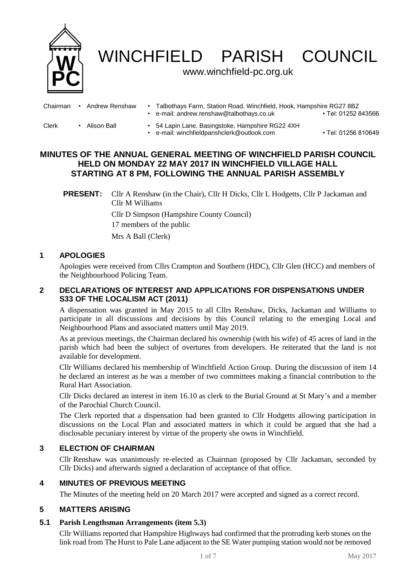

WINCHFIELD PARISH COUNCIL

## www.winchfield-pc.org.uk

| Chairman | Andrew Renshaw | Talbothays Farm, Station Road, Winchfield, Hook, Hampshire RG27 8BZ<br>• e-mail: andrew.renshaw@talbothays.co.uk | ▪Tel: 01252 843566  |
|----------|----------------|------------------------------------------------------------------------------------------------------------------|---------------------|
| Clerk    | Alison Ball    | 54 Lapin Lane, Basingstoke, Hampshire RG22 4XH<br>• e-mail: winchfieldparishclerk@outlook.com                    | • Tel: 01256 810649 |

# **MINUTES OF THE ANNUAL GENERAL MEETING OF WINCHFIELD PARISH COUNCIL HELD ON MONDAY 22 MAY 2017 IN WINCHFIELD VILLAGE HALL STARTING AT 8 PM, FOLLOWING THE ANNUAL PARISH ASSEMBLY**

**PRESENT:** Cllr A Renshaw (in the Chair), Cllr H Dicks, Cllr L Hodgetts, Cllr P Jackaman and Cllr M Williams Cllr D Simpson (Hampshire County Council) 17 members of the public

Mrs A Ball (Clerk)

# **1 APOLOGIES**

Apologies were received from Cllrs Crampton and Southern (HDC), Cllr Glen (HCC) and members of the Neighbourhood Policing Team.

# **2 DECLARATIONS OF INTEREST AND APPLICATIONS FOR DISPENSATIONS UNDER S33 OF THE LOCALISM ACT (2011)**

A dispensation was granted in May 2015 to all Cllrs Renshaw, Dicks, Jackaman and Williams to participate in all discussions and decisions by this Council relating to the emerging Local and Neighbourhood Plans and associated matters until May 2019.

As at previous meetings, the Chairman declared his ownership (with his wife) of 45 acres of land in the parish which had been the subject of overtures from developers. He reiterated that the land is not available for development.

Cllr Williams declared his membership of Winchfield Action Group. During the discussion of item 14 he declared an interest as he was a member of two committees making a financial contribution to the Rural Hart Association.

Cllr Dicks declared an interest in item 16.10 as clerk to the Burial Ground at St Mary's and a member of the Parochial Church Council.

The Clerk reported that a dispensation had been granted to Cllr Hodgetts allowing participation in discussions on the Local Plan and associated matters in which it could be argued that she had a disclosable pecuniary interest by virtue of the property she owns in Winchfield.

# **3 ELECTION OF CHAIRMAN**

Cllr Renshaw was unanimously re-elected as Chairman (proposed by Cllr Jackaman, seconded by Cllr Dicks) and afterwards signed a declaration of acceptance of that office.

# **4 MINUTES OF PREVIOUS MEETING**

The Minutes of the meeting held on 20 March 2017 were accepted and signed as a correct record.

# **5 MATTERS ARISING**

# **5.1 Parish Lengthsman Arrangements (item 5.3)**

Cllr Williams reported that Hampshire Highways had confirmed that the protruding kerb stones on the link road from The Hurst to Pale Lane adjacent to the SE Water pumping station would not be removed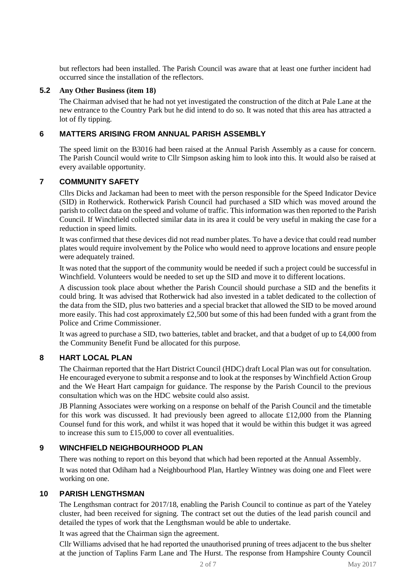but reflectors had been installed. The Parish Council was aware that at least one further incident had occurred since the installation of the reflectors.

## **5.2 Any Other Business (item 18)**

The Chairman advised that he had not yet investigated the construction of the ditch at Pale Lane at the new entrance to the Country Park but he did intend to do so. It was noted that this area has attracted a lot of fly tipping.

# **6 MATTERS ARISING FROM ANNUAL PARISH ASSEMBLY**

The speed limit on the B3016 had been raised at the Annual Parish Assembly as a cause for concern. The Parish Council would write to Cllr Simpson asking him to look into this. It would also be raised at every available opportunity.

# **7 COMMUNITY SAFETY**

Cllrs Dicks and Jackaman had been to meet with the person responsible for the Speed Indicator Device (SID) in Rotherwick. Rotherwick Parish Council had purchased a SID which was moved around the parish to collect data on the speed and volume of traffic. This information was then reported to the Parish Council. If Winchfield collected similar data in its area it could be very useful in making the case for a reduction in speed limits.

It was confirmed that these devices did not read number plates. To have a device that could read number plates would require involvement by the Police who would need to approve locations and ensure people were adequately trained.

It was noted that the support of the community would be needed if such a project could be successful in Winchfield. Volunteers would be needed to set up the SID and move it to different locations.

A discussion took place about whether the Parish Council should purchase a SID and the benefits it could bring. It was advised that Rotherwick had also invested in a tablet dedicated to the collection of the data from the SID, plus two batteries and a special bracket that allowed the SID to be moved around more easily. This had cost approximately £2,500 but some of this had been funded with a grant from the Police and Crime Commissioner.

It was agreed to purchase a SID, two batteries, tablet and bracket, and that a budget of up to £4,000 from the Community Benefit Fund be allocated for this purpose.

# **8 HART LOCAL PLAN**

The Chairman reported that the Hart District Council (HDC) draft Local Plan was out for consultation. He encouraged everyone to submit a response and to look at the responses by Winchfield Action Group and the We Heart Hart campaign for guidance. The response by the Parish Council to the previous consultation which was on the HDC website could also assist.

JB Planning Associates were working on a response on behalf of the Parish Council and the timetable for this work was discussed. It had previously been agreed to allocate £12,000 from the Planning Counsel fund for this work, and whilst it was hoped that it would be within this budget it was agreed to increase this sum to £15,000 to cover all eventualities.

# **9 WINCHFIELD NEIGHBOURHOOD PLAN**

There was nothing to report on this beyond that which had been reported at the Annual Assembly. It was noted that Odiham had a Neighbourhood Plan, Hartley Wintney was doing one and Fleet were working on one.

# **10 PARISH LENGTHSMAN**

The Lengthsman contract for 2017/18, enabling the Parish Council to continue as part of the Yateley cluster, had been received for signing. The contract set out the duties of the lead parish council and detailed the types of work that the Lengthsman would be able to undertake.

It was agreed that the Chairman sign the agreement.

Cllr Williams advised that he had reported the unauthorised pruning of trees adjacent to the bus shelter at the junction of Taplins Farm Lane and The Hurst. The response from Hampshire County Council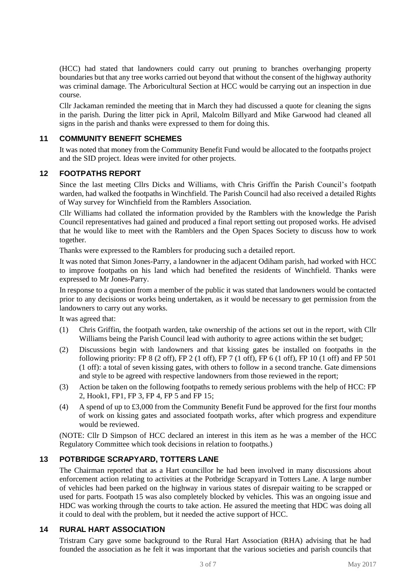(HCC) had stated that landowners could carry out pruning to branches overhanging property boundaries but that any tree works carried out beyond that without the consent of the highway authority was criminal damage. The Arboricultural Section at HCC would be carrying out an inspection in due course.

Cllr Jackaman reminded the meeting that in March they had discussed a quote for cleaning the signs in the parish. During the litter pick in April, Malcolm Billyard and Mike Garwood had cleaned all signs in the parish and thanks were expressed to them for doing this.

# **11 COMMUNITY BENEFIT SCHEMES**

It was noted that money from the Community Benefit Fund would be allocated to the footpaths project and the SID project. Ideas were invited for other projects.

## **12 FOOTPATHS REPORT**

Since the last meeting Cllrs Dicks and Williams, with Chris Griffin the Parish Council's footpath warden, had walked the footpaths in Winchfield. The Parish Council had also received a detailed Rights of Way survey for Winchfield from the Ramblers Association.

Cllr Williams had collated the information provided by the Ramblers with the knowledge the Parish Council representatives had gained and produced a final report setting out proposed works. He advised that he would like to meet with the Ramblers and the Open Spaces Society to discuss how to work together.

Thanks were expressed to the Ramblers for producing such a detailed report.

It was noted that Simon Jones-Parry, a landowner in the adjacent Odiham parish, had worked with HCC to improve footpaths on his land which had benefited the residents of Winchfield. Thanks were expressed to Mr Jones-Parry.

In response to a question from a member of the public it was stated that landowners would be contacted prior to any decisions or works being undertaken, as it would be necessary to get permission from the landowners to carry out any works.

It was agreed that:

- (1) Chris Griffin, the footpath warden, take ownership of the actions set out in the report, with Cllr Williams being the Parish Council lead with authority to agree actions within the set budget;
- (2) Discussions begin with landowners and that kissing gates be installed on footpaths in the following priority: FP 8 (2 off), FP 2 (1 off), FP 7 (1 off), FP 6 (1 off), FP 10 (1 off) and FP 501 (1 off): a total of seven kissing gates, with others to follow in a second tranche. Gate dimensions and style to be agreed with respective landowners from those reviewed in the report;
- (3) Action be taken on the following footpaths to remedy serious problems with the help of HCC: FP 2, Hook1, FP1, FP 3, FP 4, FP 5 and FP 15;
- (4) A spend of up to £3,000 from the Community Benefit Fund be approved for the first four months of work on kissing gates and associated footpath works, after which progress and expenditure would be reviewed.

(NOTE: Cllr D Simpson of HCC declared an interest in this item as he was a member of the HCC Regulatory Committee which took decisions in relation to footpaths.)

### **13 POTBRIDGE SCRAPYARD, TOTTERS LANE**

The Chairman reported that as a Hart councillor he had been involved in many discussions about enforcement action relating to activities at the Potbridge Scrapyard in Totters Lane. A large number of vehicles had been parked on the highway in various states of disrepair waiting to be scrapped or used for parts. Footpath 15 was also completely blocked by vehicles. This was an ongoing issue and HDC was working through the courts to take action. He assured the meeting that HDC was doing all it could to deal with the problem, but it needed the active support of HCC.

## **14 RURAL HART ASSOCIATION**

Tristram Cary gave some background to the Rural Hart Association (RHA) advising that he had founded the association as he felt it was important that the various societies and parish councils that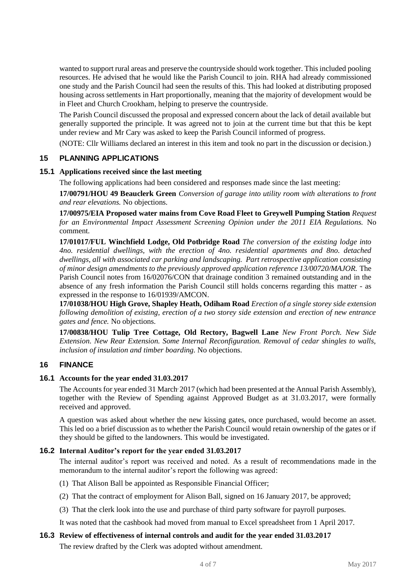wanted to support rural areas and preserve the countryside should work together. This included pooling resources. He advised that he would like the Parish Council to join. RHA had already commissioned one study and the Parish Council had seen the results of this. This had looked at distributing proposed housing across settlements in Hart proportionally, meaning that the majority of development would be in Fleet and Church Crookham, helping to preserve the countryside.

The Parish Council discussed the proposal and expressed concern about the lack of detail available but generally supported the principle. It was agreed not to join at the current time but that this be kept under review and Mr Cary was asked to keep the Parish Council informed of progress.

(NOTE: Cllr Williams declared an interest in this item and took no part in the discussion or decision.)

## **15 PLANNING APPLICATIONS**

#### **15.1 Applications received since the last meeting**

The following applications had been considered and responses made since the last meeting:

**17/00791/HOU 49 Beauclerk Green** *Conversion of garage into utility room with alterations to front and rear elevations.* No objections.

**17/00975/EIA Proposed water mains from Cove Road Fleet to Greywell Pumping Station** *Request for an Environmental Impact Assessment Screening Opinion under the 2011 EIA Regulations.* No comment.

**17/01017/FUL Winchfield Lodge, Old Potbridge Road** *The conversion of the existing lodge into 4no. residential dwellings, with the erection of 4no. residential apartments and 8no. detached dwellings, all with associated car parking and landscaping. Part retrospective application consisting of minor design amendments to the previously approved application reference 13/00720/MAJOR.* The Parish Council notes from 16/02076/CON that drainage condition 3 remained outstanding and in the absence of any fresh information the Parish Council still holds concerns regarding this matter - as expressed in the response to 16/01939/AMCON.

**17/01038/HOU High Grove, Shapley Heath, Odiham Road** *Erection of a single storey side extension following demolition of existing, erection of a two storey side extension and erection of new entrance gates and fence.* No objections.

**17/00838/HOU Tulip Tree Cottage, Old Rectory, Bagwell Lane** *New Front Porch. New Side Extension. New Rear Extension. Some Internal Reconfiguration. Removal of cedar shingles to walls, inclusion of insulation and timber boarding.* No objections.

#### **16 FINANCE**

#### **16.1 Accounts for the year ended 31.03.2017**

The Accounts for year ended 31 March 2017 (which had been presented at the Annual Parish Assembly), together with the Review of Spending against Approved Budget as at 31.03.2017, were formally received and approved.

A question was asked about whether the new kissing gates, once purchased, would become an asset. This led oo a brief discussion as to whether the Parish Council would retain ownership of the gates or if they should be gifted to the landowners. This would be investigated.

#### **16.2 Internal Auditor's report for the year ended 31.03.2017**

The internal auditor's report was received and noted. As a result of recommendations made in the memorandum to the internal auditor's report the following was agreed:

- (1) That Alison Ball be appointed as Responsible Financial Officer;
- (2) That the contract of employment for Alison Ball, signed on 16 January 2017, be approved;
- (3) That the clerk look into the use and purchase of third party software for payroll purposes.

It was noted that the cashbook had moved from manual to Excel spreadsheet from 1 April 2017.

#### **16.3 Review of effectiveness of internal controls and audit for the year ended 31.03.2017**

The review drafted by the Clerk was adopted without amendment.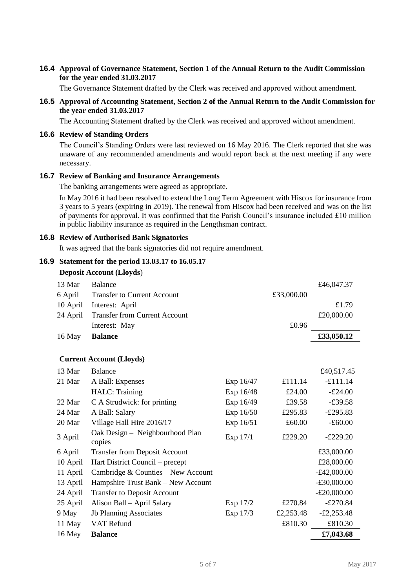## **16.4 Approval of Governance Statement, Section 1 of the Annual Return to the Audit Commission for the year ended 31.03.2017**

The Governance Statement drafted by the Clerk was received and approved without amendment.

#### **16.5 Approval of Accounting Statement, Section 2 of the Annual Return to the Audit Commission for the year ended 31.03.2017**

The Accounting Statement drafted by the Clerk was received and approved without amendment.

#### **16.6 Review of Standing Orders**

The Council's Standing Orders were last reviewed on 16 May 2016. The Clerk reported that she was unaware of any recommended amendments and would report back at the next meeting if any were necessary.

#### **16.7 Review of Banking and Insurance Arrangements**

The banking arrangements were agreed as appropriate.

In May 2016 it had been resolved to extend the Long Term Agreement with Hiscox for insurance from 3 years to 5 years (expiring in 2019). The renewal from Hiscox had been received and was on the list of payments for approval. It was confirmed that the Parish Council's insurance included £10 million in public liability insurance as required in the Lengthsman contract.

#### **16.8 Review of Authorised Bank Signatories**

It was agreed that the bank signatories did not require amendment.

## **16.9 Statement for the period 13.03.17 to 16.05.17**

#### **Deposit Account (Lloyds**)

| 13 Mar   | <b>Balance</b>                            |           |            | £46,047.37    |
|----------|-------------------------------------------|-----------|------------|---------------|
| 6 April  | <b>Transfer to Current Account</b>        |           | £33,000.00 |               |
| 10 April | Interest: April                           |           |            | £1.79         |
| 24 April | <b>Transfer from Current Account</b>      |           |            | £20,000.00    |
|          | Interest: May                             |           | £0.96      |               |
| 16 May   | <b>Balance</b>                            |           |            | £33,050.12    |
|          |                                           |           |            |               |
|          | <b>Current Account (Lloyds)</b>           |           |            |               |
| 13 Mar   | <b>Balance</b>                            |           |            | £40,517.45    |
| 21 Mar   | A Ball: Expenses                          | Exp 16/47 | £111.14    | $-£111.14$    |
|          | HALC: Training                            | Exp 16/48 | £24.00     | $-£24.00$     |
| 22 Mar   | C A Strudwick: for printing               | Exp 16/49 | £39.58     | $-£39.58$     |
| 24 Mar   | A Ball: Salary                            | Exp 16/50 | £295.83    | $-£295.83$    |
| 20 Mar   | Village Hall Hire 2016/17                 | Exp 16/51 | £60.00     | $-£60.00$     |
| 3 April  | Oak Design - Neighbourhood Plan<br>copies | Exp 17/1  | £229.20    | $-£229.20$    |
| 6 April  | <b>Transfer from Deposit Account</b>      |           |            | £33,000.00    |
| 10 April | Hart District Council – precept           |           |            | £28,000.00    |
| 11 April | Cambridge & Counties - New Account        |           |            | $-£42,000.00$ |
| 13 April | Hampshire Trust Bank - New Account        |           |            | $-£30,000.00$ |
| 24 April | <b>Transfer to Deposit Account</b>        |           |            | $-£20,000.00$ |
| 25 April | Alison Ball - April Salary                | Exp 17/2  | £270.84    | $-£270.84$    |
| 9 May    | <b>Jb Planning Associates</b>             | Exp 17/3  | £2,253.48  | $-£2,253.48$  |
| 11 May   | VAT Refund                                |           | £810.30    | £810.30       |
| 16 May   | <b>Balance</b>                            |           |            | £7,043.68     |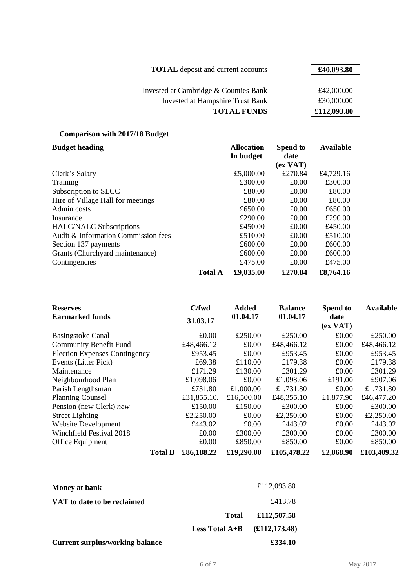| <b>TOTAL</b> deposit and current accounts | £40,093.80  |
|-------------------------------------------|-------------|
| Invested at Cambridge & Counties Bank     | £42,000.00  |
| <b>Invested at Hampshire Trust Bank</b>   | £30,000.00  |
| <b>TOTAL FUNDS</b>                        | £112,093.80 |

# **Comparison with 2017/18 Budget**

| <b>Budget heading</b>               |                | <b>Allocation</b> | <b>Spend to</b>  | <b>Available</b> |
|-------------------------------------|----------------|-------------------|------------------|------------------|
|                                     |                | In budget         | date             |                  |
|                                     |                |                   | (ex <b>VAT</b> ) |                  |
| Clerk's Salary                      |                | £5,000.00         | £270.84          | £4,729.16        |
| Training                            |                | £300.00           | £0.00            | £300.00          |
| Subscription to SLCC                |                | £80.00            | £0.00            | £80.00           |
| Hire of Village Hall for meetings   |                | £80.00            | £0.00            | £80.00           |
| Admin costs                         |                | £650.00           | £0.00            | £650.00          |
| Insurance                           |                | £290.00           | £0.00            | £290.00          |
| <b>HALC/NALC Subscriptions</b>      |                | £450.00           | £0.00            | £450.00          |
| Audit & Information Commission fees |                | £510.00           | £0.00            | £510.00          |
| Section 137 payments                |                | £600.00           | £0.00            | £600.00          |
| Grants (Churchyard maintenance)     |                | £600.00           | £0.00            | £600.00          |
| Contingencies                       |                | £475.00           | £0.00            | £475.00          |
|                                     | <b>Total A</b> | £9,035.00         | £270.84          | £8,764.16        |

| <b>Reserves</b>                      | C/fwd       | <b>Added</b> | <b>Balance</b> | Spend to                 | <b>Available</b> |
|--------------------------------------|-------------|--------------|----------------|--------------------------|------------------|
| <b>Earmarked funds</b>               | 31.03.17    | 01.04.17     | 01.04.17       | date<br>(ex <b>VAT</b> ) |                  |
| <b>Basingstoke Canal</b>             | £0.00       | £250.00      | £250.00        | £0.00                    | £250.00          |
| <b>Community Benefit Fund</b>        | £48,466.12  | £0.00        | £48,466.12     | £0.00                    | £48,466.12       |
| <b>Election Expenses Contingency</b> | £953.45     | £0.00        | £953.45        | £0.00                    | £953.45          |
| Events (Litter Pick)                 | £69.38      | £110.00      | £179.38        | £0.00                    | £179.38          |
| Maintenance                          | £171.29     | £130.00      | £301.29        | £0.00                    | £301.29          |
| Neighbourhood Plan                   | £1,098.06   | £0.00        | £1,098.06      | £191.00                  | £907.06          |
| Parish Lengthsman                    | £731.80     | £1,000.00    | £1,731.80      | £0.00                    | £1,731.80        |
| <b>Planning Counsel</b>              | £31,855.10. | £16,500.00   | £48,355.10     | £1,877.90                | £46,477.20       |
| Pension (new Clerk) new              | £150.00     | £150.00      | £300.00        | £0.00                    | £300.00          |
| <b>Street Lighting</b>               | £2,250.00   | £0.00        | £2,250.00      | £0.00                    | £2,250.00        |
| <b>Website Development</b>           | £443.02     | £0.00        | £443.02        | £0.00                    | £443.02          |
| Winchfield Festival 2018             | £0.00       | £300.00      | £300.00        | £0.00                    | £300.00          |
| Office Equipment                     | £0.00       | £850.00      | £850.00        | £0.00                    | £850.00          |
| <b>Total B</b>                       | £86,188.22  | £19,290.00   | £105,478.22    | £2,068.90                | £103,409.32      |

| Money at bank                          |                                    | £112,093.80    |
|----------------------------------------|------------------------------------|----------------|
| VAT to date to be reclaimed            |                                    | £413.78        |
|                                        | <b>Total</b>                       | £112,507.58    |
|                                        | <b>Less Total <math>A+B</math></b> | (E112, 173.48) |
| <b>Current surplus/working balance</b> |                                    | £334.10        |